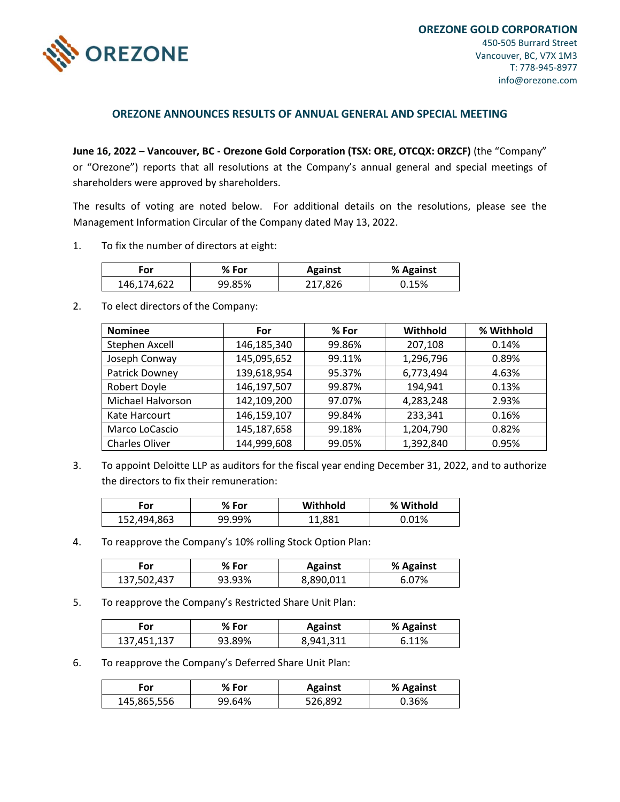

## **OREZONE ANNOUNCES RESULTS OF ANNUAL GENERAL AND SPECIAL MEETING**

**June 16, 2022 – Vancouver, BC - Orezone Gold Corporation (TSX: ORE, OTCQX: ORZCF)** (the "Company" or "Orezone") reports that all resolutions at the Company's annual general and special meetings of shareholders were approved by shareholders.

The results of voting are noted below. For additional details on the resolutions, please see the Management Information Circular of the Company dated May 13, 2022.

1. To fix the number of directors at eight:

| ror         | % For  | <b>Against</b> | % Against |
|-------------|--------|----------------|-----------|
| 146,174,622 | 99.85% | 217,826        | 0.15%     |

2. To elect directors of the Company:

| <b>Nominee</b>           | For         | $%$ For | Withhold  | % Withhold |
|--------------------------|-------------|---------|-----------|------------|
| Stephen Axcell           | 146,185,340 | 99.86%  | 207,108   | 0.14%      |
| Joseph Conway            | 145,095,652 | 99.11%  | 1,296,796 | 0.89%      |
| Patrick Downey           | 139,618,954 | 95.37%  | 6,773,494 | 4.63%      |
| Robert Doyle             | 146,197,507 | 99.87%  | 194,941   | 0.13%      |
| <b>Michael Halvorson</b> | 142,109,200 | 97.07%  | 4,283,248 | 2.93%      |
| Kate Harcourt            | 146,159,107 | 99.84%  | 233,341   | 0.16%      |
| Marco LoCascio           | 145,187,658 | 99.18%  | 1,204,790 | 0.82%      |
| Charles Oliver           | 144,999,608 | 99.05%  | 1,392,840 | 0.95%      |

3. To appoint Deloitte LLP as auditors for the fiscal year ending December 31, 2022, and to authorize the directors to fix their remuneration:

| For         | $%$ For | Withhold   | % Withold |
|-------------|---------|------------|-----------|
| 152,494,863 | 99.99%  | <b>! እ</b> | .01%      |

4. To reapprove the Company's 10% rolling Stock Option Plan:

| For         | % For  | <b>Against</b> | % Against |
|-------------|--------|----------------|-----------|
| 137,502,437 | 93.93% | 8,890,011      | .5.07%    |

5. To reapprove the Company's Restricted Share Unit Plan:

| For         | % For  | <b>Against</b> | % Against |
|-------------|--------|----------------|-----------|
| 137,451,137 | 93.89% | 8,941,311      | 11%       |

6. To reapprove the Company's Deferred Share Unit Plan:

| .-or        | % For  | <b>Against</b> | % Against |
|-------------|--------|----------------|-----------|
| 145,865,556 | 99.64% | 526,892        | 0.36%     |